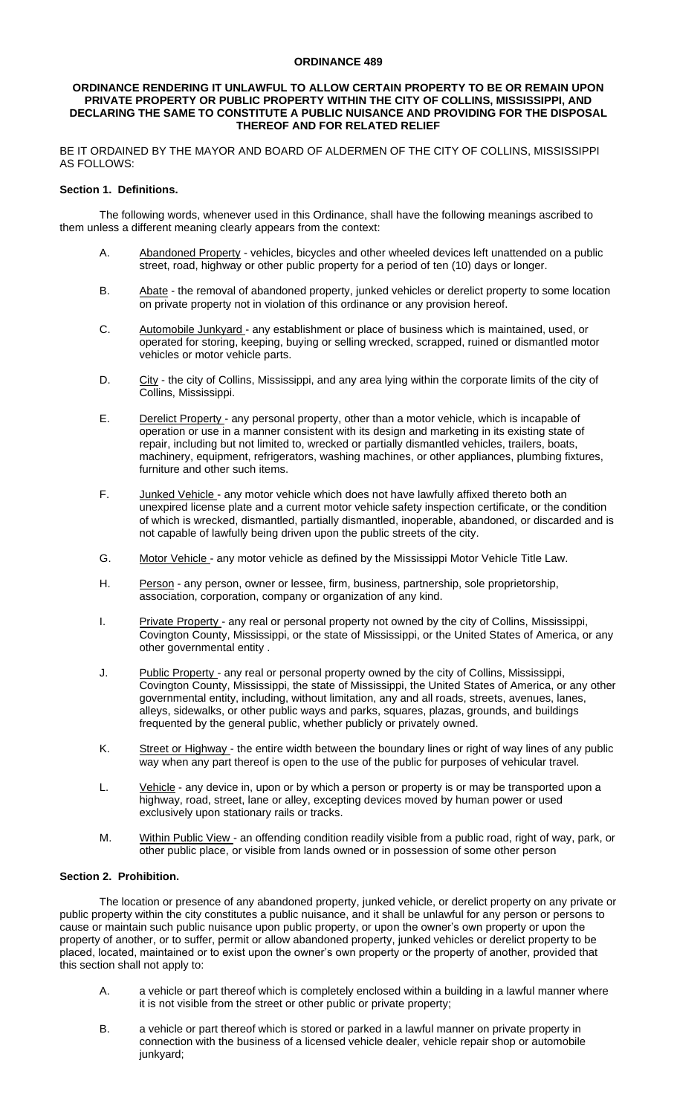#### **ORDINANCE 489**

#### **ORDINANCE RENDERING IT UNLAWFUL TO ALLOW CERTAIN PROPERTY TO BE OR REMAIN UPON PRIVATE PROPERTY OR PUBLIC PROPERTY WITHIN THE CITY OF COLLINS, MISSISSIPPI, AND DECLARING THE SAME TO CONSTITUTE A PUBLIC NUISANCE AND PROVIDING FOR THE DISPOSAL THEREOF AND FOR RELATED RELIEF**

BE IT ORDAINED BY THE MAYOR AND BOARD OF ALDERMEN OF THE CITY OF COLLINS, MISSISSIPPI AS FOLLOWS:

## **Section 1. Definitions.**

The following words, whenever used in this Ordinance, shall have the following meanings ascribed to them unless a different meaning clearly appears from the context:

- A. Abandoned Property vehicles, bicycles and other wheeled devices left unattended on a public street, road, highway or other public property for a period of ten (10) days or longer.
- B. Abate the removal of abandoned property, junked vehicles or derelict property to some location on private property not in violation of this ordinance or any provision hereof.
- C. Automobile Junkyard any establishment or place of business which is maintained, used, or operated for storing, keeping, buying or selling wrecked, scrapped, ruined or dismantled motor vehicles or motor vehicle parts.
- D. City the city of Collins, Mississippi, and any area lying within the corporate limits of the city of Collins, Mississippi.
- E. Derelict Property any personal property, other than a motor vehicle, which is incapable of operation or use in a manner consistent with its design and marketing in its existing state of repair, including but not limited to, wrecked or partially dismantled vehicles, trailers, boats, machinery, equipment, refrigerators, washing machines, or other appliances, plumbing fixtures, furniture and other such items.
- F. Junked Vehicle any motor vehicle which does not have lawfully affixed thereto both an unexpired license plate and a current motor vehicle safety inspection certificate, or the condition of which is wrecked, dismantled, partially dismantled, inoperable, abandoned, or discarded and is not capable of lawfully being driven upon the public streets of the city.
- G. Motor Vehicle any motor vehicle as defined by the Mississippi Motor Vehicle Title Law.
- H. Person any person, owner or lessee, firm, business, partnership, sole proprietorship, association, corporation, company or organization of any kind.
- I. Private Property any real or personal property not owned by the city of Collins, Mississippi, Covington County, Mississippi, or the state of Mississippi, or the United States of America, or any other governmental entity .
- J. Public Property any real or personal property owned by the city of Collins, Mississippi, Covington County, Mississippi, the state of Mississippi, the United States of America, or any other governmental entity, including, without limitation, any and all roads, streets, avenues, lanes, alleys, sidewalks, or other public ways and parks, squares, plazas, grounds, and buildings frequented by the general public, whether publicly or privately owned.
- K. Street or Highway the entire width between the boundary lines or right of way lines of any public way when any part thereof is open to the use of the public for purposes of vehicular travel.
- L. Vehicle any device in, upon or by which a person or property is or may be transported upon a highway, road, street, lane or alley, excepting devices moved by human power or used exclusively upon stationary rails or tracks.
- M. Within Public View an offending condition readily visible from a public road, right of way, park, or other public place, or visible from lands owned or in possession of some other person

# **Section 2. Prohibition.**

The location or presence of any abandoned property, junked vehicle, or derelict property on any private or public property within the city constitutes a public nuisance, and it shall be unlawful for any person or persons to cause or maintain such public nuisance upon public property, or upon the owner's own property or upon the property of another, or to suffer, permit or allow abandoned property, junked vehicles or derelict property to be placed, located, maintained or to exist upon the owner's own property or the property of another, provided that this section shall not apply to:

- A. a vehicle or part thereof which is completely enclosed within a building in a lawful manner where it is not visible from the street or other public or private property;
- B. a vehicle or part thereof which is stored or parked in a lawful manner on private property in connection with the business of a licensed vehicle dealer, vehicle repair shop or automobile junkyard;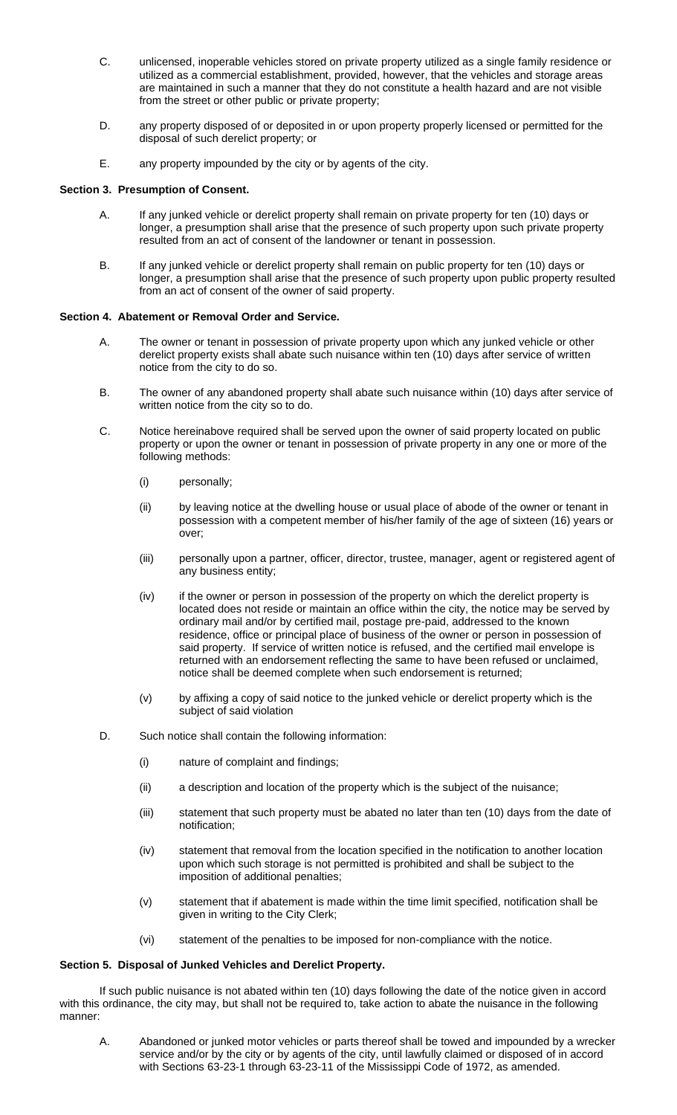- C. unlicensed, inoperable vehicles stored on private property utilized as a single family residence or utilized as a commercial establishment, provided, however, that the vehicles and storage areas are maintained in such a manner that they do not constitute a health hazard and are not visible from the street or other public or private property;
- D. any property disposed of or deposited in or upon property properly licensed or permitted for the disposal of such derelict property; or
- E. any property impounded by the city or by agents of the city.

## **Section 3. Presumption of Consent.**

- A. If any junked vehicle or derelict property shall remain on private property for ten (10) days or longer, a presumption shall arise that the presence of such property upon such private property resulted from an act of consent of the landowner or tenant in possession.
- B. If any junked vehicle or derelict property shall remain on public property for ten (10) days or longer, a presumption shall arise that the presence of such property upon public property resulted from an act of consent of the owner of said property.

## **Section 4. Abatement or Removal Order and Service.**

- A. The owner or tenant in possession of private property upon which any junked vehicle or other derelict property exists shall abate such nuisance within ten (10) days after service of written notice from the city to do so.
- B. The owner of any abandoned property shall abate such nuisance within (10) days after service of written notice from the city so to do.
- C. Notice hereinabove required shall be served upon the owner of said property located on public property or upon the owner or tenant in possession of private property in any one or more of the following methods:
	- (i) personally;
	- (ii) by leaving notice at the dwelling house or usual place of abode of the owner or tenant in possession with a competent member of his/her family of the age of sixteen (16) years or over;
	- (iii) personally upon a partner, officer, director, trustee, manager, agent or registered agent of any business entity;
	- (iv) if the owner or person in possession of the property on which the derelict property is located does not reside or maintain an office within the city, the notice may be served by ordinary mail and/or by certified mail, postage pre-paid, addressed to the known residence, office or principal place of business of the owner or person in possession of said property. If service of written notice is refused, and the certified mail envelope is returned with an endorsement reflecting the same to have been refused or unclaimed, notice shall be deemed complete when such endorsement is returned;
	- (v) by affixing a copy of said notice to the junked vehicle or derelict property which is the subject of said violation
- D. Such notice shall contain the following information:
	- (i) nature of complaint and findings;
	- (ii) a description and location of the property which is the subject of the nuisance;
	- (iii) statement that such property must be abated no later than ten (10) days from the date of notification;
	- (iv) statement that removal from the location specified in the notification to another location upon which such storage is not permitted is prohibited and shall be subject to the imposition of additional penalties;
	- (v) statement that if abatement is made within the time limit specified, notification shall be given in writing to the City Clerk;
	- (vi) statement of the penalties to be imposed for non-compliance with the notice.

#### **Section 5. Disposal of Junked Vehicles and Derelict Property.**

If such public nuisance is not abated within ten (10) days following the date of the notice given in accord with this ordinance, the city may, but shall not be required to, take action to abate the nuisance in the following manner:

A. Abandoned or junked motor vehicles or parts thereof shall be towed and impounded by a wrecker service and/or by the city or by agents of the city, until lawfully claimed or disposed of in accord with Sections 63-23-1 through 63-23-11 of the Mississippi Code of 1972, as amended.